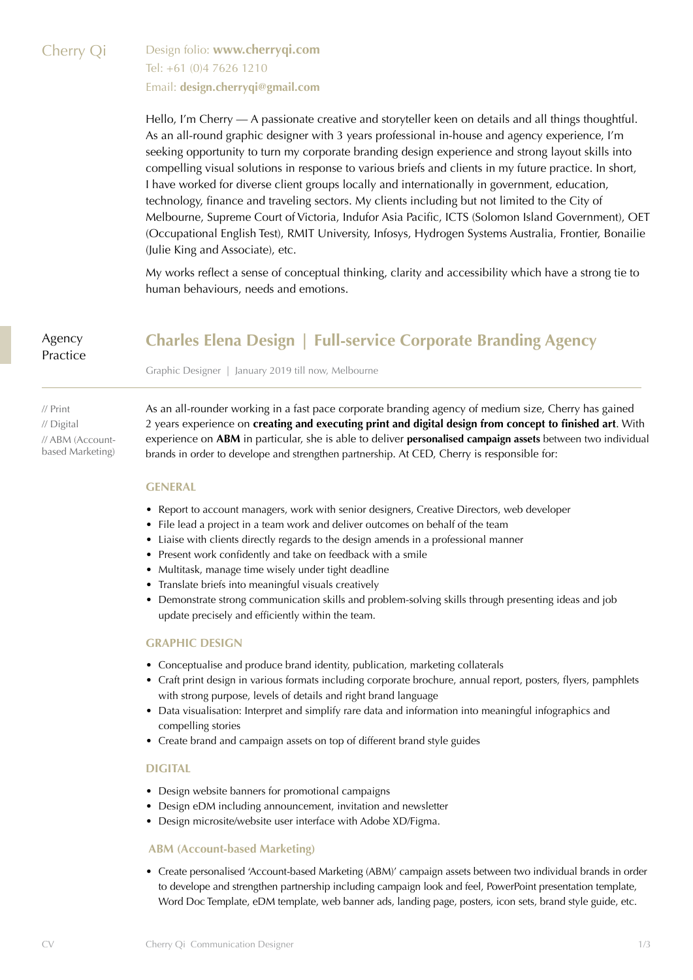# Cherry Qi Design folio: **[www.cherryqi.com](http://www.cherryqi.com)** Tel: +61 (0)4 7626 1210 Email: **[design.cherryqi@gmail.com](mailto:design.cherryqi%40gmail.com?subject=)**

Hello, I'm Cherry — A passionate creative and storyteller keen on details and all things thoughtful. As an all-round graphic designer with 3 years professional in-house and agency experience, I'm seeking opportunity to turn my corporate branding design experience and strong layout skills into compelling visual solutions in response to various briefs and clients in my future practice. In short, I have worked for diverse client groups locally and internationally in government, education, technology, finance and traveling sectors. My clients including but not limited to the City of Melbourne, Supreme Court of Victoria, Indufor Asia Pacific, ICTS (Solomon Island Government), OET (Occupational English Test), RMIT University, Infosys, Hydrogen Systems Australia, Frontier, Bonailie (Julie King and Associate), etc.

My works reflect a sense of conceptual thinking, clarity and accessibility which have a strong tie to human behaviours, needs and emotions.

Agency Practice

# **Charles Elena Design | Full-service Corporate Branding Agency**

Graphic Designer | January 2019 till now, Melbourne

// Print // Digital // ABM (Accountbased Marketing) As an all-rounder working in a fast pace corporate branding agency of medium size, Cherry has gained 2 years experience on **creating and executing print and digital design from concept to finished art**. With experience on **ABM** in particular, she is able to deliver **personalised campaign assets** between two individual brands in order to develope and strengthen partnership. At CED, Cherry is responsible for:

#### **GENERAL**

- Report to account managers, work with senior designers, Creative Directors, web developer
- File lead a project in a team work and deliver outcomes on behalf of the team
- Liaise with clients directly regards to the design amends in a professional manner
- Present work confidently and take on feedback with a smile
- Multitask, manage time wisely under tight deadline
- Translate briefs into meaningful visuals creatively
- Demonstrate strong communication skills and problem-solving skills through presenting ideas and job update precisely and efficiently within the team.

### **GRAPHIC DESIGN**

- Conceptualise and produce brand identity, publication, marketing collaterals
- Craft print design in various formats including corporate brochure, annual report, posters, flyers, pamphlets with strong purpose, levels of details and right brand language
- Data visualisation: Interpret and simplify rare data and information into meaningful infographics and compelling stories
- Create brand and campaign assets on top of different brand style guides

### **DIGITAL**

- Design website banners for promotional campaigns
- Design eDM including announcement, invitation and newsletter
- Design microsite/website user interface with Adobe XD/Figma.

### **ABM (Account-based Marketing)**

• Create personalised 'Account-based Marketing (ABM)' campaign assets between two individual brands in order to develope and strengthen partnership including campaign look and feel, PowerPoint presentation template, Word Doc Template, eDM template, web banner ads, landing page, posters, icon sets, brand style guide, etc.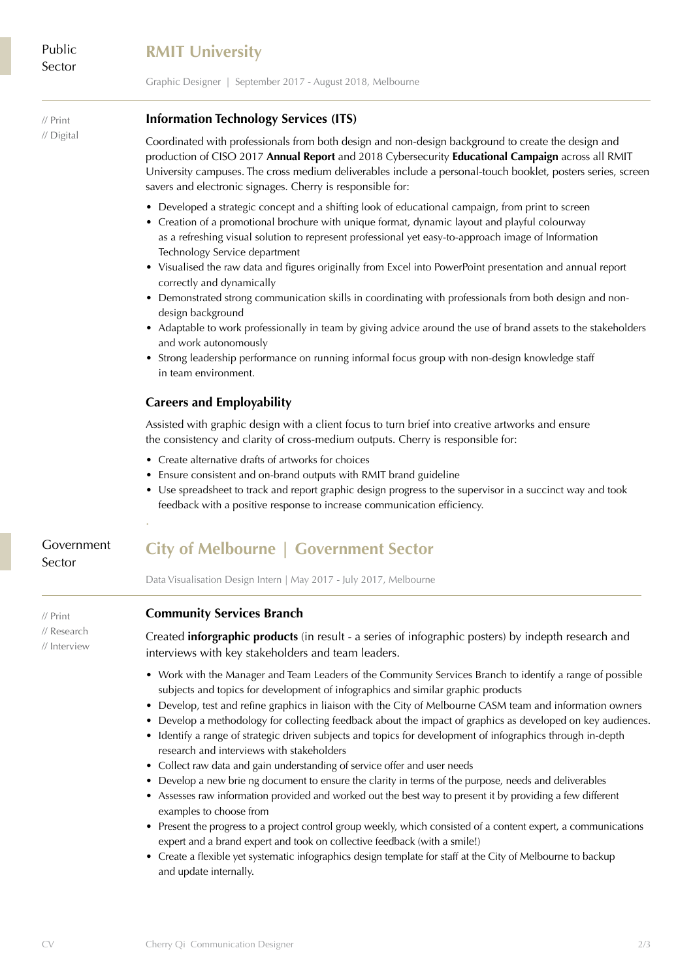# **RMIT University**

Graphic Designer | September 2017 - August 2018, Melbourne

// Print // Digital

### **Information Technology Services (ITS)**

Coordinated with professionals from both design and non-design background to create the design and production of CISO 2017 **Annual Report** and 2018 Cybersecurity **Educational Campaign** across all RMIT University campuses. The cross medium deliverables include a personal-touch booklet, posters series, screen savers and electronic signages. Cherry is responsible for:

- Developed a strategic concept and a shifting look of educational campaign, from print to screen
- Creation of a promotional brochure with unique format, dynamic layout and playful colourway as a refreshing visual solution to represent professional yet easy-to-approach image of Information Technology Service department
- Visualised the raw data and figures originally from Excel into PowerPoint presentation and annual report correctly and dynamically
- Demonstrated strong communication skills in coordinating with professionals from both design and nondesign background
- Adaptable to work professionally in team by giving advice around the use of brand assets to the stakeholders and work autonomously
- Strong leadership performance on running informal focus group with non-design knowledge staff in team environment.

### **Careers and Employability**

Assisted with graphic design with a client focus to turn brief into creative artworks and ensure the consistency and clarity of cross-medium outputs. Cherry is responsible for:

- Create alternative drafts of artworks for choices
- Ensure consistent and on-brand outputs with RMIT brand guideline
- Use spreadsheet to track and report graphic design progress to the supervisor in a succinct way and took feedback with a positive response to increase communication efficiency.

## Government Sector

.

# **City of Melbourne | Government Sector**

Data Visualisation Design Intern | May 2017 - July 2017, Melbourne

### **Community Services Branch**

// Research // Interview

// Print

Created **inforgraphic products** (in result - a series of infographic posters) by indepth research and interviews with key stakeholders and team leaders.

- Work with the Manager and Team Leaders of the Community Services Branch to identify a range of possible subjects and topics for development of infographics and similar graphic products
- Develop, test and refine graphics in liaison with the City of Melbourne CASM team and information owners
- Develop a methodology for collecting feedback about the impact of graphics as developed on key audiences.
- Identify a range of strategic driven subjects and topics for development of infographics through in-depth research and interviews with stakeholders
- Collect raw data and gain understanding of service offer and user needs
- Develop a new brie ng document to ensure the clarity in terms of the purpose, needs and deliverables
- Assesses raw information provided and worked out the best way to present it by providing a few different examples to choose from
- Present the progress to a project control group weekly, which consisted of a content expert, a communications expert and a brand expert and took on collective feedback (with a smile!)
- Create a flexible yet systematic infographics design template for staff at the City of Melbourne to backup and update internally.